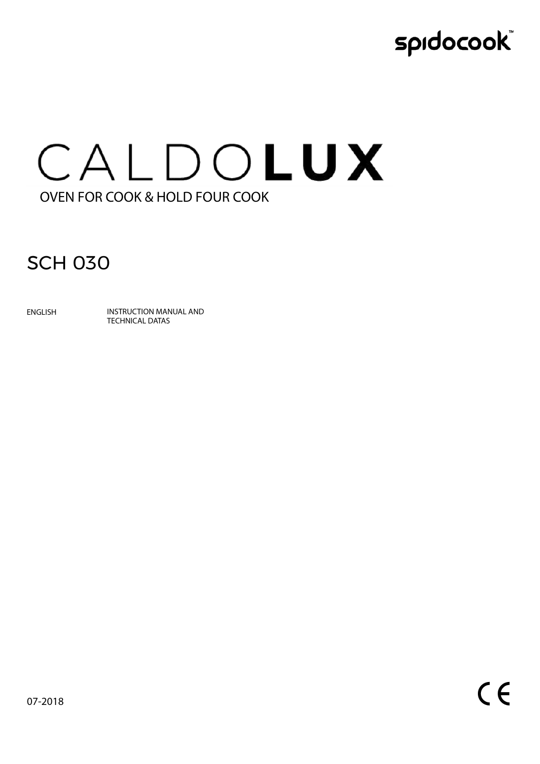# CALDOLUX OVEN FOR COOK & HOLD FOUR COOK

### SCH 030

ENGLISH INSTRUCTION MANUAL AND TECHNICAL DATAS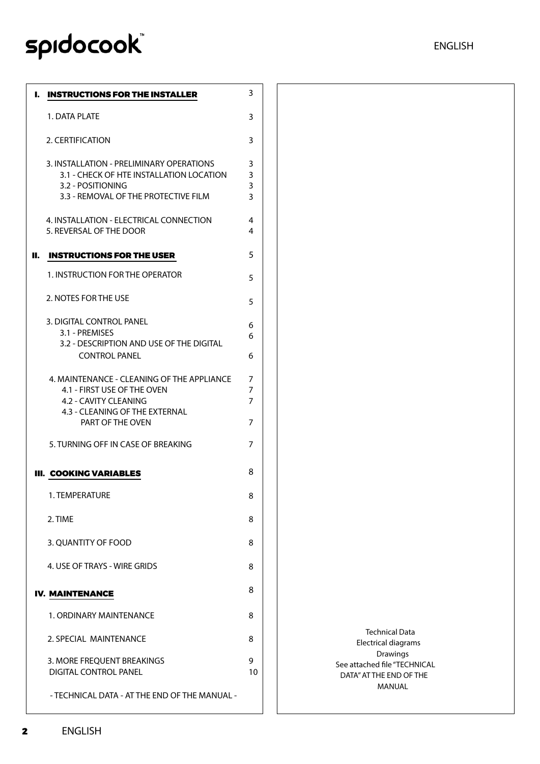| I.    | <b>INSTRUCTIONS FOR THE INSTALLER</b>                                                                                                             | 3                |
|-------|---------------------------------------------------------------------------------------------------------------------------------------------------|------------------|
|       | 1. DATA PLATE                                                                                                                                     | 3                |
|       | 2. CERTIFICATION                                                                                                                                  | 3                |
|       | 3. INSTALLATION - PRELIMINARY OPERATIONS<br>3.1 - CHECK OF HTE INSTALLATION LOCATION<br>3.2 - POSITIONING<br>3.3 - REMOVAL OF THE PROTECTIVE FILM | 3<br>3<br>3<br>3 |
|       | 4. INSTALLATION - ELECTRICAL CONNECTION<br>5. REVERSAL OF THE DOOR                                                                                | 4<br>4           |
| II. - | <b>INSTRUCTIONS FOR THE USER</b>                                                                                                                  | 5                |
|       | 1. INSTRUCTION FOR THE OPERATOR                                                                                                                   | 5                |
|       | 2. NOTES FOR THE USE                                                                                                                              | 5                |
|       | 3. DIGITAI CONTROI PANFI<br>3.1 - PREMISES<br>3.2 - DESCRIPTION AND USE OF THE DIGITAL                                                            | 6<br>6           |
|       | <b>CONTROL PANEL</b>                                                                                                                              | 6                |
|       | 4. MAINTENANCE - CLEANING OF THE APPLIANCE<br>4.1 - FIRST USE OF THE OVEN<br>4.2 - CAVITY CLEANING                                                | 7<br>7<br>7      |
|       | 4.3 - CLEANING OF THE EXTERNAL<br>PART OF THE OVEN                                                                                                | 7                |
|       | 5. TURNING OFF IN CASE OF BREAKING                                                                                                                | 7                |
|       | III.  COOKING VARIABLES                                                                                                                           | 8                |
|       | 1. TEMPERATURE                                                                                                                                    | 8                |
|       | 2. TIME                                                                                                                                           | 8                |
|       | 3. QUANTITY OF FOOD                                                                                                                               | 8                |
|       | 4. USE OF TRAYS - WIRE GRIDS                                                                                                                      | 8                |
|       | <b>IV. MAINTENANCE</b>                                                                                                                            | 8                |
|       | 1. ORDINARY MAINTENANCE                                                                                                                           | 8                |
|       | 2. SPECIAL MAINTENANCE                                                                                                                            | 8                |
|       | 3. MORE FREQUENT BREAKINGS<br>DIGITAL CONTROL PANEL                                                                                               | 9<br>10          |
|       | - TECHNICAL DATA - AT THE END OF THE MANUAL -                                                                                                     |                  |

Technical Data Electrical diagrams Drawings See attached file "TECHNICAL DATA" AT THE END OF THE MANUAL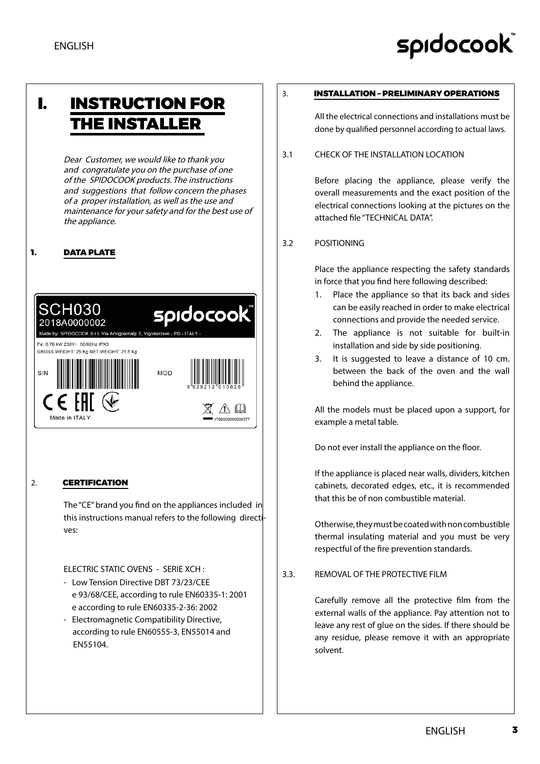### I. INSTRUCTION FOR THE INSTALLER

Dear Customer, we would like to thank you and congratulate you on the purchase of one of the SPIDOCOOK products. The instructions and suggestions that follow concern the phases of a proper installation, as well as the use and maintenance for your safety and for the best use of the appliance.

### 1. DATA PLATE



### 2. CERTIFICATION

The "CE" brand you find on the appliances included in this instructions manual refers to the following directives:

FLECTRIC STATIC OVENS - SERIE XCH  $\cdot$ 

- Low Tension Directive DBT 73/23/CEE e 93/68/CEE, according to rule EN60335-1: 2001 e according to rule EN60335-2-36: 2002
- Electromagnetic Compatibility Directive, according to rule EN60555-3, EN55014 and EN55104.

### 3. INSTALLATION – PRELIMINARY OPERATIONS

All the electrical connections and installations must be done by qualified personnel according to actual laws.

### 3.1 CHECK OF THE INSTALLATION LOCATION

Before placing the appliance, please verify the overall measurements and the exact position of the electrical connections looking at the pictures on the attached file "TECHNICAL DATA".

### 3.2 POSITIONING

Place the appliance respecting the safety standards in force that you find here following described:

- 1. Place the appliance so that its back and sides can be easily reached in order to make electrical connections and provide the needed service.
- 2. The appliance is not suitable for built-in installation and side by side positioning.
- 3. It is suggested to leave a distance of 10 cm. between the back of the oven and the wall behind the appliance.

All the models must be placed upon a support, for example a metal table.

Do not ever install the appliance on the floor.

If the appliance is placed near walls, dividers, kitchen cabinets, decorated edges, etc., it is recommended that this be of non combustible material.

Otherwise, they must be coated with non combustible thermal insulating material and you must be very respectful of the fire prevention standards.

### 3.3. REMOVAL OF THE PROTECTIVE FILM

Carefully remove all the protective film from the external walls of the appliance. Pay attention not to leave any rest of glue on the sides. If there should be any residue, please remove it with an appropriate solvent.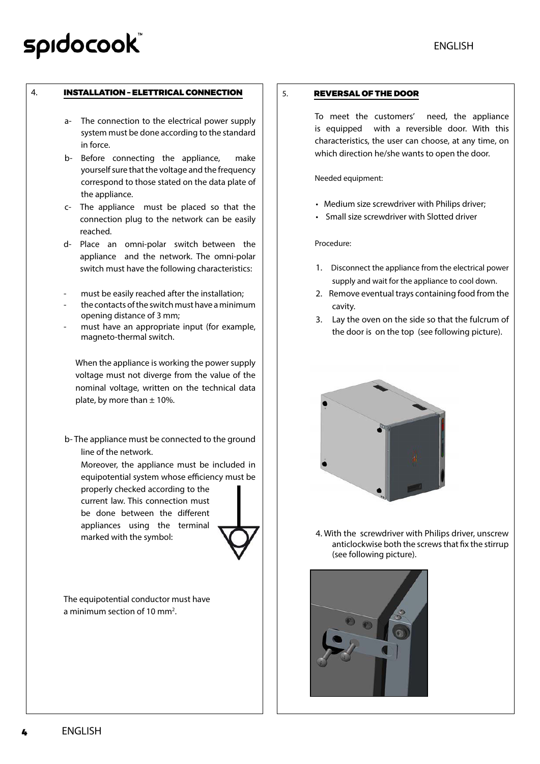### 4. INSTALLATION – ELETTRICAL CONNECTION

- a- The connection to the electrical power supply system must be done according to the standard in force.
- b- Before connecting the appliance, make yourself sure that the voltage and the frequency correspond to those stated on the data plate of the appliance.
- c- The appliance must be placed so that the connection plug to the network can be easily reached.
- d- Place an omni-polar switch between the appliance and the network. The omni-polar switch must have the following characteristics:
- must be easily reached after the installation;
- the contacts of the switch must have a minimum opening distance of 3 mm;
- must have an appropriate input (for example, magneto-thermal switch.

When the appliance is working the power supply voltage must not diverge from the value of the nominal voltage, written on the technical data plate, by more than  $\pm$  10%.

b- The appliance must be connected to the ground line of the network.

Moreover, the appliance must be included in equipotential system whose efficiency must be properly checked according to the current law. This connection must be done between the different appliances using the terminal marked with the symbol:



The equipotential conductor must have a minimum section of 10 mm<sup>2</sup>.

### 5. REVERSAL OF THE DOOR

To meet the customers' need, the appliance is equipped with a reversible door. With this characteristics, the user can choose, at any time, on which direction he/she wants to open the door.

Needed equipment:

- Medium size screwdriver with Philips driver;
- Small size screwdriver with Slotted driver

Procedure:

- 1. Disconnect the appliance from the electrical power supply and wait for the appliance to cool down.
- 2. Remove eventual trays containing food from the cavity.
- 3. Lay the oven on the side so that the fulcrum of the door is on the top (see following picture).



4. With the screwdriver with Philips driver, unscrew anticlockwise both the screws that fix the stirrup (see following picture).



4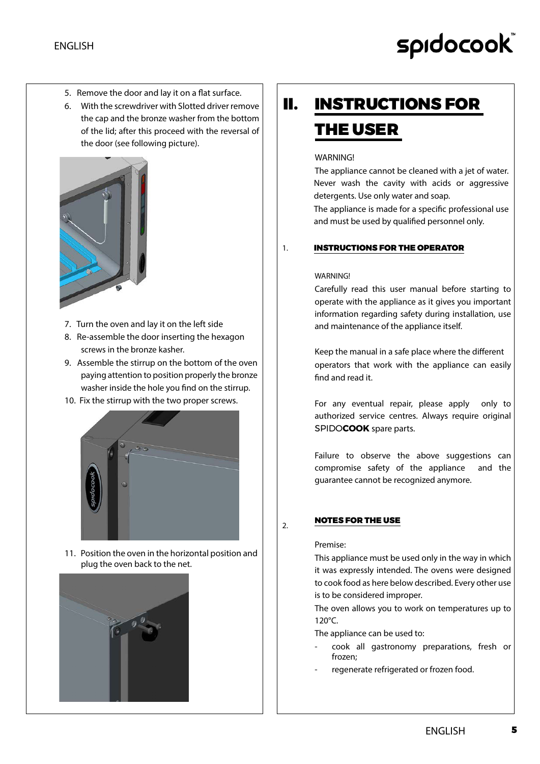- 5. Remove the door and lay it on a flat surface.
- 6. With the screwdriver with Slotted driver remove the cap and the bronze washer from the bottom of the lid; after this proceed with the reversal of the door (see following picture).



- 7. Turn the oven and lay it on the left side
- 8. Re-assemble the door inserting the hexagon screws in the bronze kasher.
- 9. Assemble the stirrup on the bottom of the oven paying attention to position properly the bronze washer inside the hole you find on the stirrup.
- 10. Fix the stirrup with the two proper screws.



11. Position the oven in the horizontal position and plug the oven back to the net.



### II. INSTRUCTIONS FOR THE USER

### WARNING!

The appliance cannot be cleaned with a jet of water. Never wash the cavity with acids or aggressive detergents. Use only water and soap.

The appliance is made for a specific professional use and must be used by qualified personnel only.

#### 1. INSTRUCTIONS FOR THE OPERATOR

#### **WARNING!**

Carefully read this user manual before starting to operate with the appliance as it gives you important information regarding safety during installation, use and maintenance of the appliance itself.

Keep the manual in a safe place where the different operators that work with the appliance can easily find and read it.

For any eventual repair, please apply only to authorized service centres. Always require original SPIDO**COOK** spare parts.

Failure to observe the above suggestions can compromise safety of the appliance and the guarantee cannot be recognized anymore.

### NOTES FOR THE USE

### Premise:

 $\overline{2}$ 

This appliance must be used only in the way in which it was expressly intended. The ovens were designed to cook food as here below described. Every other use is to be considered improper.

The oven allows you to work on temperatures up to 120°C.

The appliance can be used to:

- cook all gastronomy preparations, fresh or frozen;
- regenerate refrigerated or frozen food.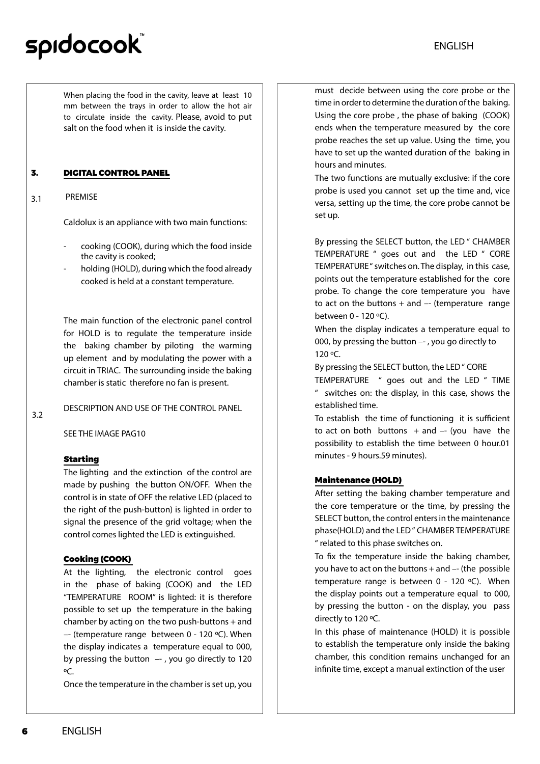When placing the food in the cavity, leave at least 10 mm between the trays in order to allow the hot air to circulate inside the cavity. Please, avoid to put salt on the food when it is inside the cavity.

### 3. DIGITAL CONTROL PANEL

#### 3.1 PREMISE

Caldolux is an appliance with two main functions:

- cooking (COOK), during which the food inside the cavity is cooked;
- holding (HOLD), during which the food already cooked is held at a constant temperature.

The main function of the electronic panel control for HOLD is to regulate the temperature inside the baking chamber by piloting the warming up element and by modulating the power with a circuit in TRIAC. The surrounding inside the baking chamber is static therefore no fan is present.

3.2 DESCRIPTION AND USE OF THE CONTROL PANEL

SEE THE IMAGE PAG10

### Starting

The lighting and the extinction of the control are made by pushing the button ON/OFF. When the control is in state of OFF the relative LED (placed to the right of the push-button) is lighted in order to signal the presence of the grid voltage; when the control comes lighted the LED is extinguished.

### Cooking (COOK)

At the lighting, the electronic control goes in the phase of baking (COOK) and the LED "TEMPERATURE ROOM" is lighted: it is therefore possible to set up the temperature in the baking chamber by acting on the two push-buttons + and  $-$  (temperature range between 0 - 120 °C). When the display indicates a temperature equal to 000, by pressing the button  $-$ , you go directly to 120  $^{\circ}C$ .

Once the temperature in the chamber is set up, you

must decide between using the core probe or the time in order to determine the duration of the baking. Using the core probe , the phase of baking (COOK) ends when the temperature measured by the core probe reaches the set up value. Using the time, you have to set up the wanted duration of the baking in hours and minutes.

The two functions are mutually exclusive: if the core probe is used you cannot set up the time and, vice versa, setting up the time, the core probe cannot be set up.

By pressing the SELECT button, the LED " CHAMBER TEMPERATURE " goes out and the LED " CORE TEMPERATURE" switches on. The display, in this case, points out the temperature established for the core probe. To change the core temperature you have to act on the buttons  $+$  and  $-$  (temperature range between 0 - 120 ºC).

When the display indicates a temperature equal to 000, by pressing the button –- , you go directly to 120 ºC.

By pressing the SELECT button, the LED " CORE

TEMPERATURE " goes out and the LED " TIME " switches on: the display, in this case, shows the established time.

To establish the time of functioning it is sufficient to act on both buttons  $+$  and  $-$  (you have the possibility to establish the time between 0 hour.01 minutes - 9 hours.59 minutes).

### Maintenance (HOLD)

After setting the baking chamber temperature and the core temperature or the time, by pressing the SELECT button, the control enters in the maintenance phase(HOLD) and the LED " CHAMBER TEMPERATURE " related to this phase switches on.

To fix the temperature inside the baking chamber, you have to act on the buttons  $+$  and  $-$  (the possible temperature range is between  $0 - 120$  °C). When the display points out a temperature equal to 000, by pressing the button - on the display, you pass directly to 120 °C.

In this phase of maintenance (HOLD) it is possible to establish the temperature only inside the baking chamber, this condition remains unchanged for an infinite time, except a manual extinction of the user

6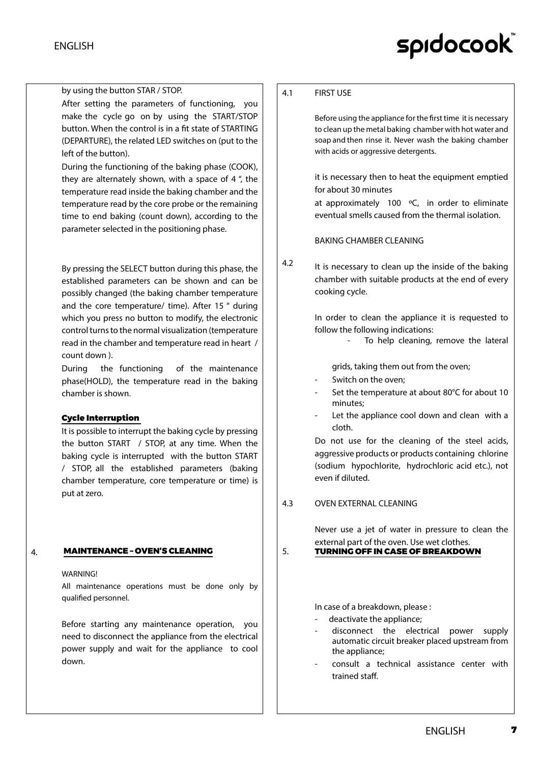### by using the button STAR / STOP.

After setting the parameters of functioning, you make the cycle go on by using the START/STOP button. When the control is in a fit state of STARTING (DEPARTURE), the related LED switches on (put to the left of the button).

During the functioning of the baking phase (COOK), they are alternately shown, with a space of 4 ", the temperature read inside the baking chamber and the temperature read by the core probe or the remaining time to end baking (count down), according to the parameter selected in the positioning phase.

By pressing the SELECT button during this phase, the established parameters can be shown and can be possibly changed (the baking chamber temperature and the core temperature/ time). After 15 " during which you press no button to modify, the electronic control turns to the normal visualization (temperature read in the chamber and temperature read in heart / count down ).

During the functioning of the maintenance phase(HOLD), the temperature read in the baking chamber is shown.

### Cycle Interruption

It is possible to interrupt the baking cycle by pressing the button START / STOP, at any time. When the baking cycle is interrupted with the button START / STOP, all the established parameters (baking chamber temperature, core temperature or time) is put at zero.

#### 4. MAINTENANCE – OVEN'S CLEANING

**WARNING!** 

All maintenance operations must be done only by qualified personnel.

Before starting any maintenance operation, you need to disconnect the appliance from the electrical power supply and wait for the appliance to cool down.

#### 4.1 FIRST USE

Before using the appliance for the first time it is necessary to clean up the metal baking chamber with hot water and soap and then rinse it. Never wash the baking chamber with acids or aggressive detergents.

it is necessary then to heat the equipment emptied for about 30 minutes

at approximately 100  $\degree$ C, in order to eliminate eventual smells caused from the thermal isolation.

BAKING CHAMBER CLEANING

4.2

It is necessary to clean up the inside of the baking chamber with suitable products at the end of every cooking cycle.

In order to clean the appliance it is requested to follow the following indications:

To help cleaning, remove the lateral

grids, taking them out from the oven;

- Switch on the oven:
- Set the temperature at about 80°C for about 10 minutes;
- Let the appliance cool down and clean with a cloth.

Do not use for the cleaning of the steel acids, aggressive products or products containing chlorine (sodium hypochlorite, hydrochloric acid etc.), not even if diluted.

### 4.3 OVEN EXTERNAL CLEANING

Never use a jet of water in pressure to clean the external part of the oven. Use wet clothes.

5. TURNING OFF IN CASE OF BREAKDOWN

In case of a breakdown, please :

- deactivate the appliance;
- disconnect the electrical power supply automatic circuit breaker placed upstream from the appliance;
- consult a technical assistance center with trained staff.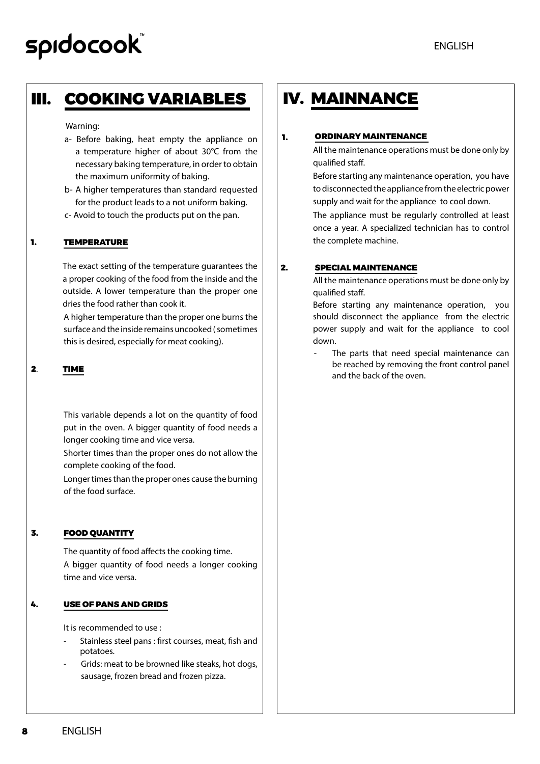### III. COOKING VARIABLES

#### Warning:

- a- Before baking, heat empty the appliance on a temperature higher of about 30°C from the necessary baking temperature, in order to obtain the maximum uniformity of baking.
- b- A higher temperatures than standard requested for the product leads to a not uniform baking.
- c- Avoid to touch the products put on the pan.

### 1. TEMPERATURE

The exact setting of the temperature guarantees the a proper cooking of the food from the inside and the outside. A lower temperature than the proper one dries the food rather than cook it.

A higher temperature than the proper one burns the surface and the inside remains uncooked ( sometimes this is desired, especially for meat cooking).

### 2. TIME

This variable depends a lot on the quantity of food put in the oven. A bigger quantity of food needs a longer cooking time and vice versa.

Shorter times than the proper ones do not allow the complete cooking of the food.

Longer times than the proper ones cause the burning of the food surface.

#### 3. FOOD QUANTITY

The quantity of food affects the cooking time. A bigger quantity of food needs a longer cooking time and vice versa.

#### 4. USE OF PANS AND GRIDS

It is recommended to use :

- Stainless steel pans : first courses, meat, fish and potatoes.
- Grids: meat to be browned like steaks, hot dogs, sausage, frozen bread and frozen pizza.

### IV. MAINNANCE

#### 1. ORDINARY MAINTENANCE

All the maintenance operations must be done only by qualified staff.

Before starting any maintenance operation, you have to disconnected the appliance from the electric power supply and wait for the appliance to cool down.

The appliance must be regularly controlled at least once a year. A specialized technician has to control the complete machine.

#### 2. SPECIAL MAINTENANCE

All the maintenance operations must be done only by qualified staff.

Before starting any maintenance operation, you should disconnect the appliance from the electric power supply and wait for the appliance to cool down.

The parts that need special maintenance can be reached by removing the front control panel and the back of the oven.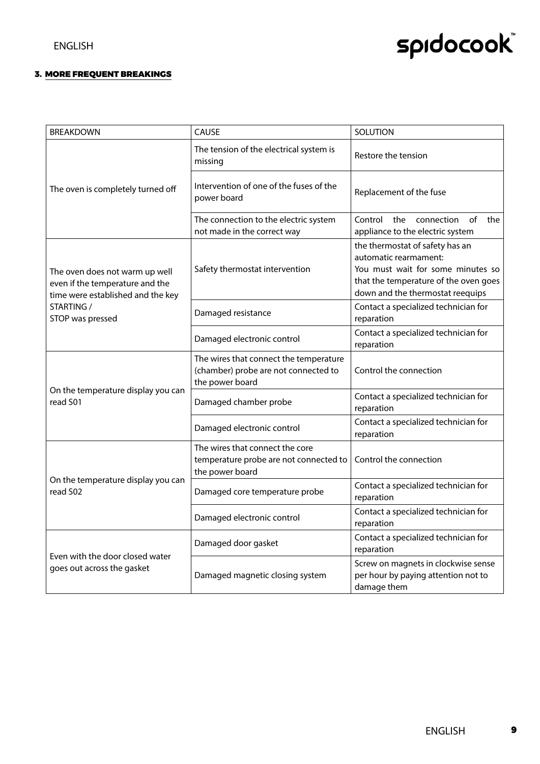### 3. MORE FREQUENT BREAKINGS

| <b>BREAKDOWN</b>                                                                                       | <b>CAUSE</b>                                                                                      | SOLUTION                                                                                                                                                                   |
|--------------------------------------------------------------------------------------------------------|---------------------------------------------------------------------------------------------------|----------------------------------------------------------------------------------------------------------------------------------------------------------------------------|
|                                                                                                        | The tension of the electrical system is<br>missing                                                | Restore the tension                                                                                                                                                        |
| The oven is completely turned off                                                                      | Intervention of one of the fuses of the<br>power board                                            | Replacement of the fuse                                                                                                                                                    |
|                                                                                                        | The connection to the electric system<br>not made in the correct way                              | Control<br>the<br>connection<br>of<br>the<br>appliance to the electric system                                                                                              |
| The oven does not warm up well<br>even if the temperature and the<br>time were established and the key | Safety thermostat intervention                                                                    | the thermostat of safety has an<br>automatic rearmament:<br>You must wait for some minutes so<br>that the temperature of the oven goes<br>down and the thermostat reequips |
| STARTING /<br>STOP was pressed                                                                         | Damaged resistance                                                                                | Contact a specialized technician for<br>reparation                                                                                                                         |
|                                                                                                        | Damaged electronic control                                                                        | Contact a specialized technician for<br>reparation                                                                                                                         |
|                                                                                                        | The wires that connect the temperature<br>(chamber) probe are not connected to<br>the power board | Control the connection                                                                                                                                                     |
| On the temperature display you can<br>read S01                                                         | Damaged chamber probe                                                                             | Contact a specialized technician for<br>reparation                                                                                                                         |
|                                                                                                        | Damaged electronic control                                                                        | Contact a specialized technician for<br>reparation                                                                                                                         |
|                                                                                                        | The wires that connect the core<br>temperature probe are not connected to<br>the power board      | Control the connection                                                                                                                                                     |
| On the temperature display you can<br>read S02                                                         | Damaged core temperature probe                                                                    | Contact a specialized technician for<br>reparation                                                                                                                         |
|                                                                                                        | Damaged electronic control                                                                        | Contact a specialized technician for<br>reparation                                                                                                                         |
| Even with the door closed water                                                                        | Damaged door gasket                                                                               | Contact a specialized technician for<br>reparation                                                                                                                         |
| goes out across the gasket                                                                             | Damaged magnetic closing system                                                                   | Screw on magnets in clockwise sense<br>per hour by paying attention not to<br>damage them                                                                                  |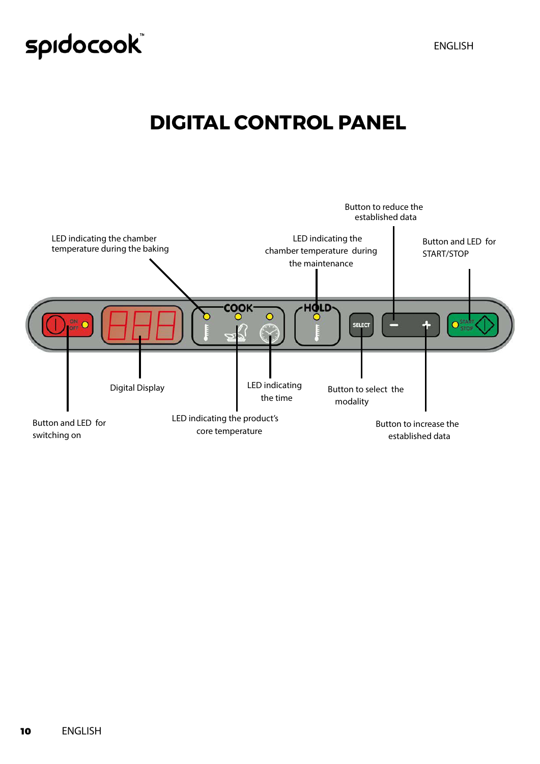### **DIGITAL CONTROL PANEL**

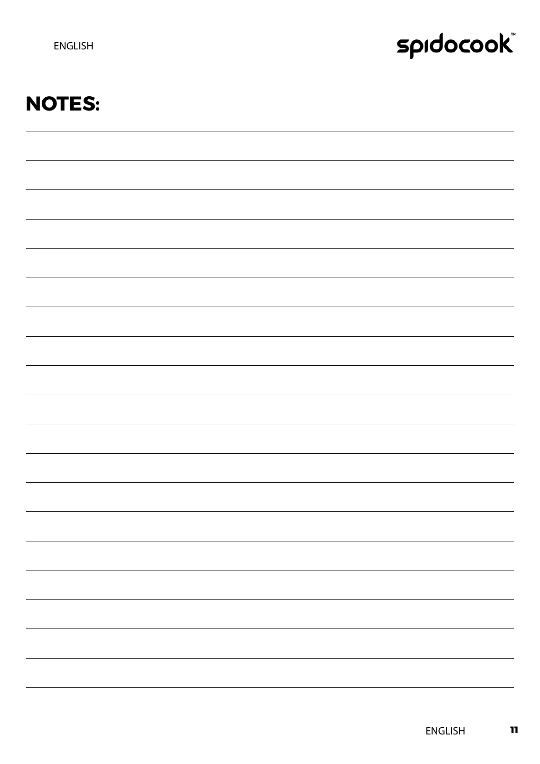### **NOTES:**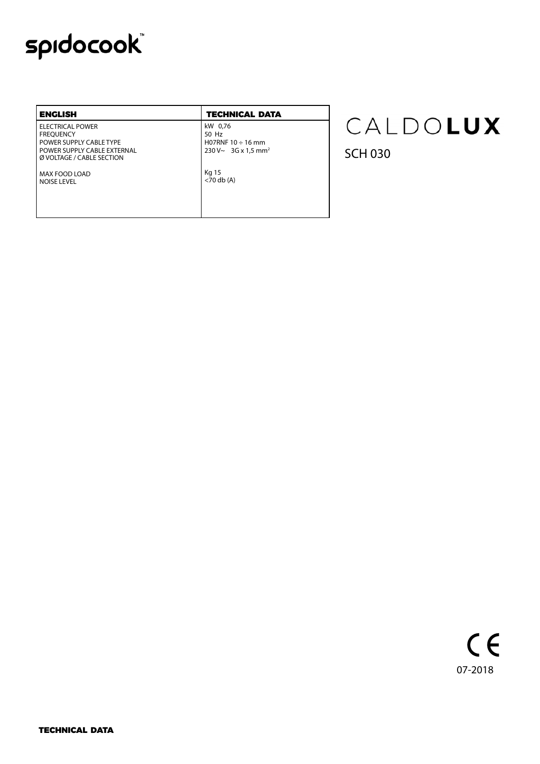| <b>ENGLISH</b>                                                                                                              | <b>TECHNICAL DATA</b>                                                                                |
|-----------------------------------------------------------------------------------------------------------------------------|------------------------------------------------------------------------------------------------------|
| ELECTRICAL POWER<br><b>FREOUENCY</b><br>POWER SUPPLY CABLE TYPE<br>POWER SUPPLY CABLE EXTERNAL<br>Ø VOLTAGE / CABLE SECTION | kW 0.76<br>50 Hz<br>H07RNF $10 \div 16$ mm<br>$230 \text{V} \sim 3 \text{G} \times 1.5 \text{ mm}^2$ |
| MAX FOOD LOAD<br><b>NOISE LEVEL</b>                                                                                         | <b>Kg 15</b><br>$<$ 70 db $(A)$                                                                      |

# CALDO**LUX**<br>SCH 030